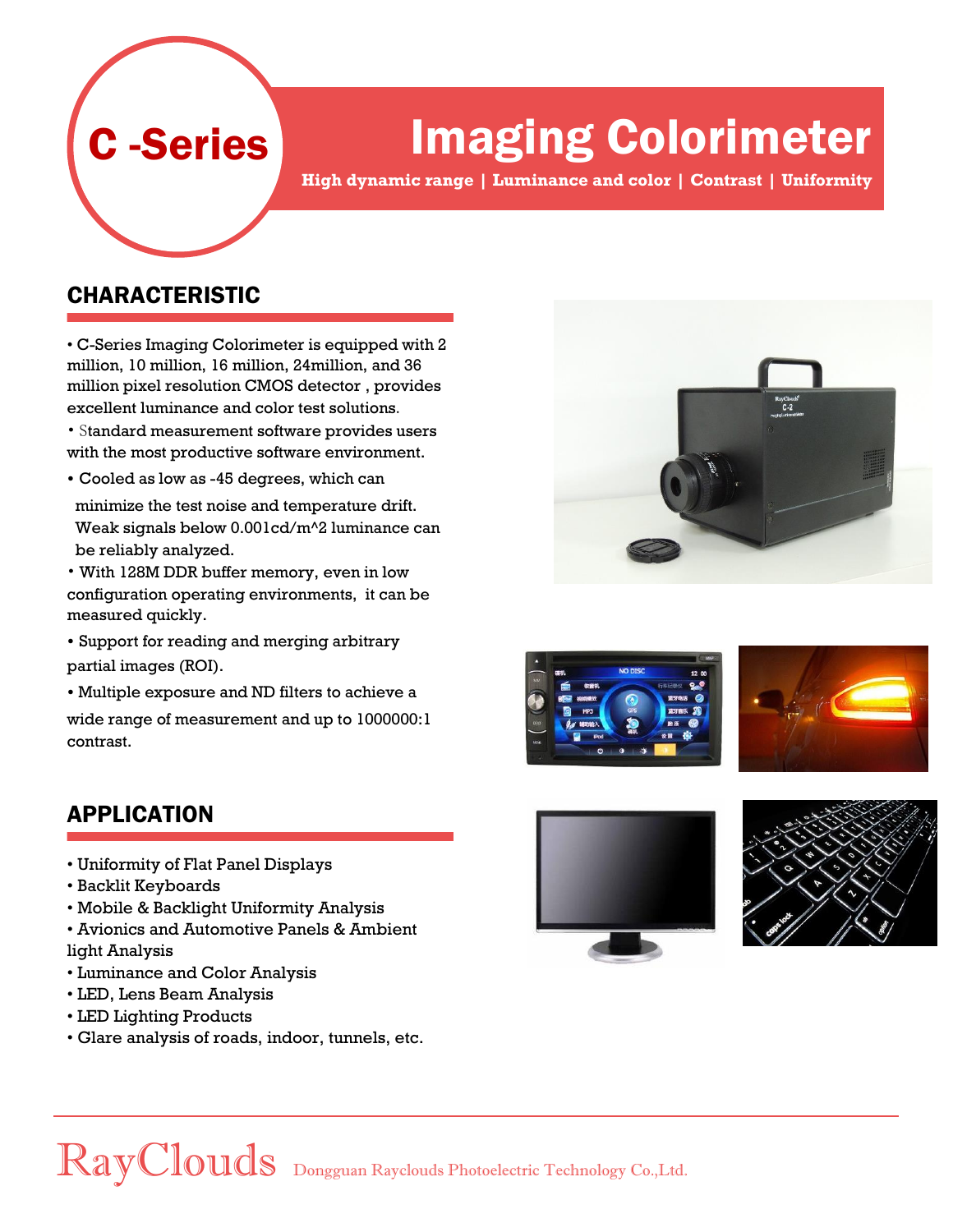# Imaging Colorimeter

**High dynamic range | Luminance and color | Contrast | Uniformity**

#### CHARACTERISTIC

C -Series

• C-Series Imaging Colorimeter is equipped with 2 million, 10 million, 16 million, 24million, and 36 million pixel resolution CMOS detector , provides excellent luminance and color test solutions.

• Standard measurement software provides users with the most productive software environment.

• Cooled as low as -45 degrees, which can

minimize the test noise and temperature drift. Weak signals below 0.001cd/m^2 luminance can be reliably analyzed.

• With 128M DDR buffer memory, even in low configuration operating environments, it can be measured quickly.

- Support for reading and merging arbitrary partial images (ROI).
- Multiple exposure and ND filters to achieve a

wide range of measurement and up to 1000000:1 contrast.

### APPLICATION

- Uniformity of Flat Panel Displays
- Backlit Keyboards
- Mobile & Backlight Uniformity Analysis
- Avionics and Automotive Panels & Ambient light Analysis
- Luminance and Color Analysis
- LED, Lens Beam Analysis
- LED Lighting Products
- Glare analysis of roads, indoor, tunnels, etc.











### RayClouds Dongguan Rayclouds Photoelectric Technology Co.,Ltd.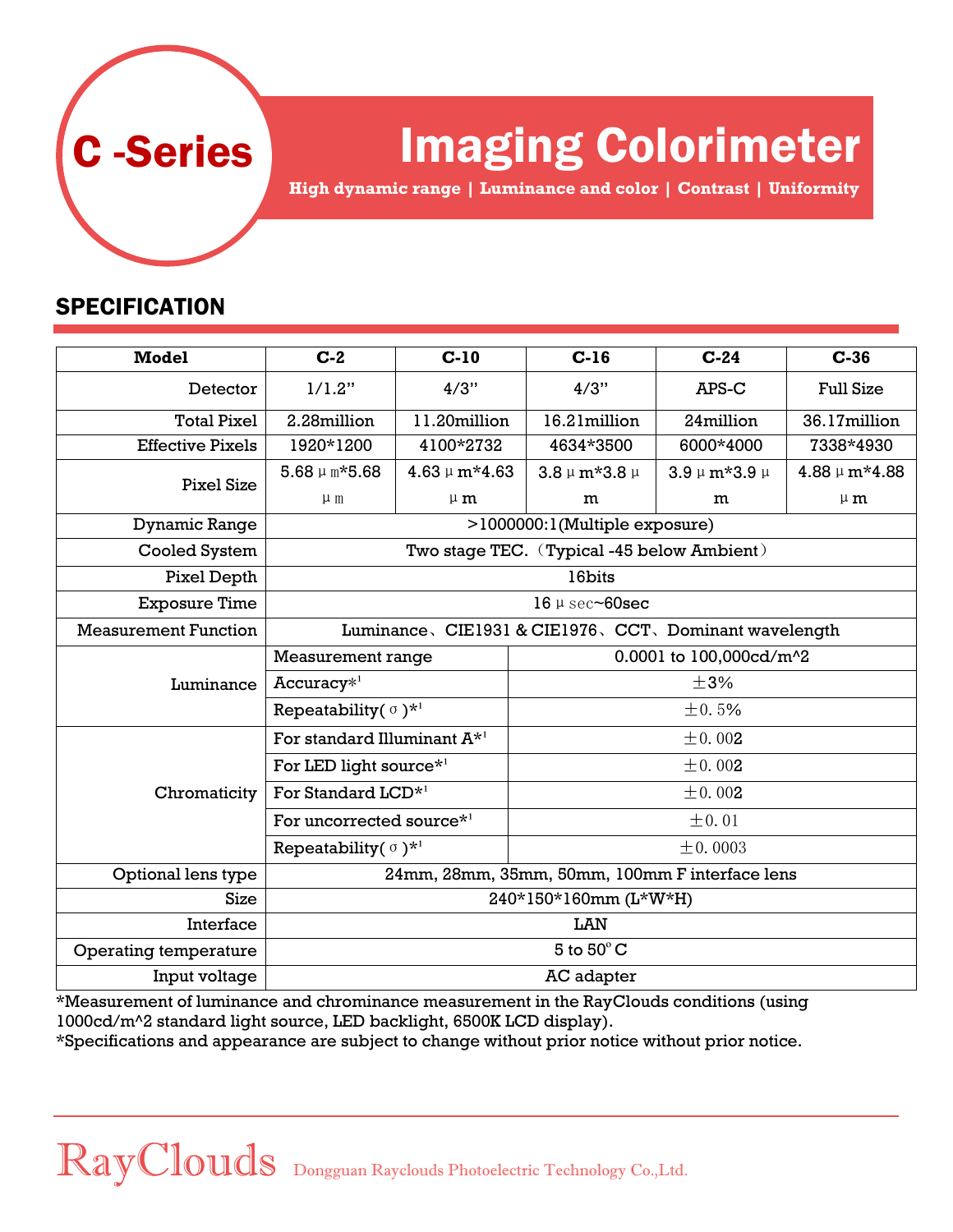

## Imaging Colorimeter

**High dynamic range | Luminance and color | Contrast | Uniformity**

### **SPECIFICATION**

| <b>Model</b>                | $C-2$                                               | $C-10$            | $C-16$                  | $C-24$              | $C-36$            |
|-----------------------------|-----------------------------------------------------|-------------------|-------------------------|---------------------|-------------------|
| Detector                    | 1/1.2"                                              | 4/3"              | 4/3"                    | APS-C               | <b>Full Size</b>  |
| <b>Total Pixel</b>          | 2.28million                                         | 11.20million      | 16.21million            | 24million           | 36.17million      |
| <b>Effective Pixels</b>     | 1920*1200                                           | 4100*2732         | 4634*3500               | 6000*4000           | 7338*4930         |
| <b>Pixel Size</b>           | $5.68 \mu m*5.68$                                   | $4.63 \mu m*4.63$ | $3.8 \mu m*3.8 \mu$     | $3.9 \mu m*3.9 \mu$ | $4.88 \mu m*4.88$ |
|                             | $\mu$ m                                             | $\mu$ m           | m                       | m                   | $\mu$ m           |
| Dynamic Range               | >1000000:1(Multiple exposure)                       |                   |                         |                     |                   |
| Cooled System               | Two stage TEC. (Typical -45 below Ambient)          |                   |                         |                     |                   |
| Pixel Depth                 | 16bits                                              |                   |                         |                     |                   |
| <b>Exposure Time</b>        | $16 \mu$ sec $\sim$ 60sec                           |                   |                         |                     |                   |
| <b>Measurement Function</b> | Luminance、CIE1931 & CIE1976、CCT、Dominant wavelength |                   |                         |                     |                   |
| Luminance                   | Measurement range                                   |                   | 0.0001 to 100,000cd/m^2 |                     |                   |
|                             | $Accuracy*1$                                        |                   | $\pm$ 3%                |                     |                   |
|                             | Repeatability( $\sigma$ ) <sup>*1</sup>             |                   | ±0.5%                   |                     |                   |
| Chromaticity                | For standard Illuminant $A^{\star 1}$               |                   | ± 0.002                 |                     |                   |
|                             | For LED light source <sup>*1</sup>                  |                   | ± 0.002                 |                     |                   |
|                             | For Standard LCD <sup>*1</sup>                      |                   | ± 0.002                 |                     |                   |
|                             | For uncorrected source* <sup>1</sup>                |                   | $\pm 0.01$              |                     |                   |
|                             | Repeatability $(\sigma)$ <sup>*1</sup>              |                   | $\pm 0.0003$            |                     |                   |
| Optional lens type          | 24mm, 28mm, 35mm, 50mm, 100mm F interface lens      |                   |                         |                     |                   |
| <b>Size</b>                 | 240*150*160mm (L*W*H)                               |                   |                         |                     |                   |
| Interface                   | LAN                                                 |                   |                         |                     |                   |
| Operating temperature       | 5 to $50^{\circ}$ C                                 |                   |                         |                     |                   |
| Input voltage               | AC adapter                                          |                   |                         |                     |                   |

\*Measurement of luminance and chrominance measurement in the RayClouds conditions (using 1000cd/m^2 standard light source, LED backlight, 6500K LCD display).

\*Specifications and appearance are subject to change without prior notice without prior notice.